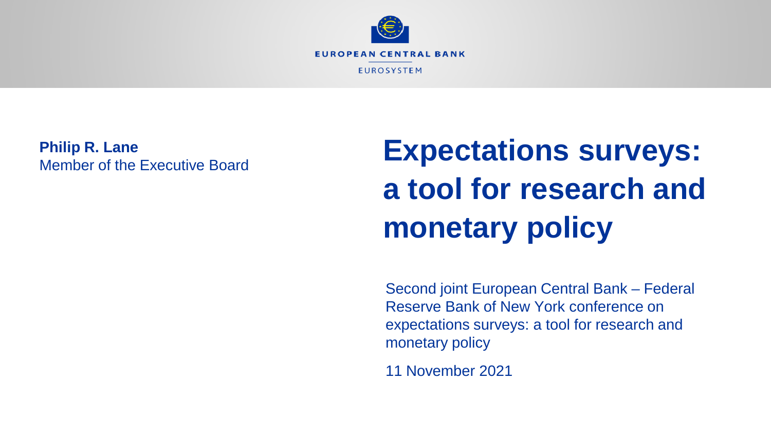

**Philip R. Lane** Member of the Executive Board

# **Expectations surveys: a tool for research and monetary policy**

Second joint European Central Bank – Federal Reserve Bank of New York conference on expectations surveys: a tool for research and monetary policy

11 November 2021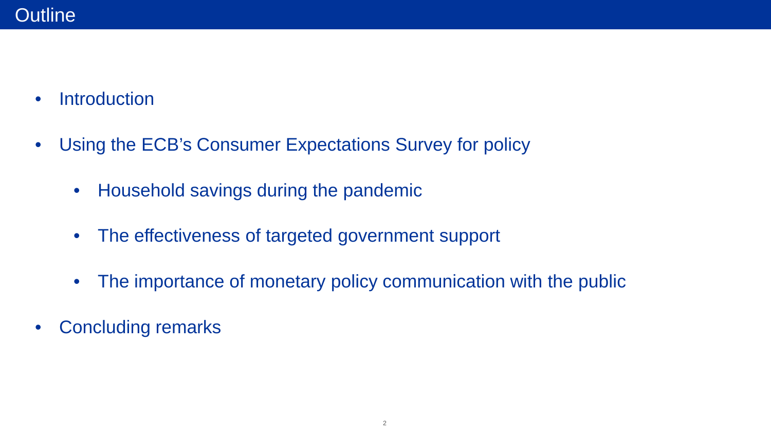- Introduction
- Using the ECB's Consumer Expectations Survey for policy
	- Household savings during the pandemic
	- The effectiveness of targeted government support
	- The importance of monetary policy communication with the public
- Concluding remarks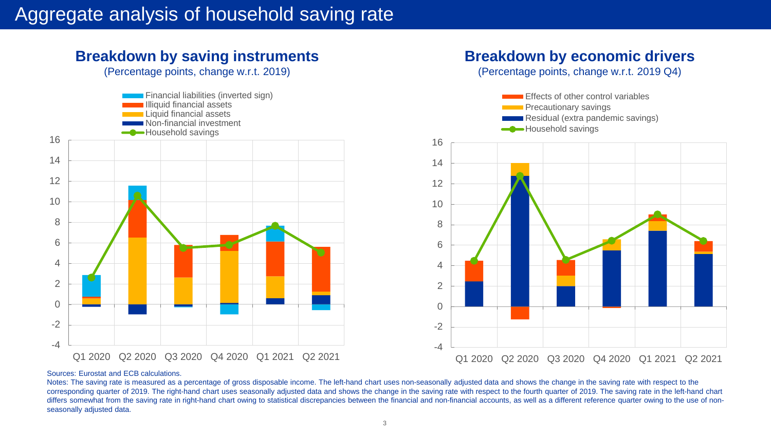#### **Breakdown by saving instruments**

(Percentage points, change w.r.t. 2019)



#### **Breakdown by economic drivers**

(Percentage points, change w.r.t. 2019 Q4)



#### Sources: Eurostat and ECB calculations.

Notes: The saving rate is measured as a percentage of gross disposable income. The left-hand chart uses non-seasonally adjusted data and shows the change in the saving rate with respect to the corresponding quarter of 2019. The right-hand chart uses seasonally adjusted data and shows the change in the saving rate with respect to the fourth quarter of 2019. The saving rate in the left-hand chart differs somewhat from the saving rate in right-hand chart owing to statistical discrepancies between the financial and non-financial accounts, as well as a different reference quarter owing to the use of nonseasonally adjusted data.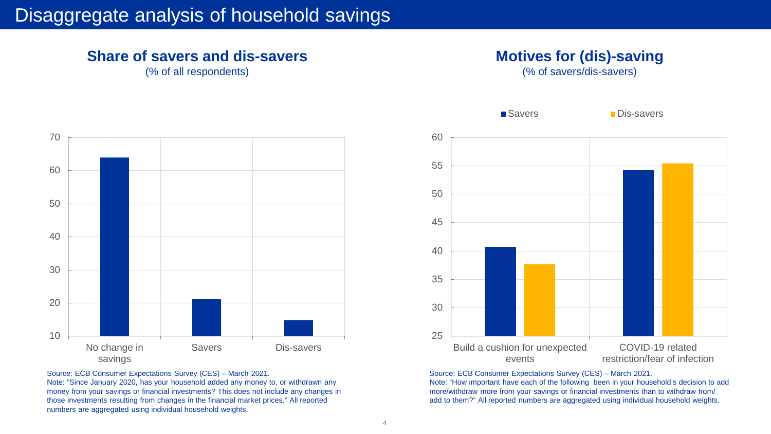#### **Share of savers and dis-savers**

(% of all respondents)



Source: ECB Consumer Expectations Survey (CES) – March 2021.

Note: "Since January 2020, has your household added any money to, or withdrawn any money from your savings or financial investments? This does not include any changes in those investments resulting from changes in the financial market prices.*"* All reported numbers are aggregated using individual household weights.



(% of savers/dis-savers)



Source: ECB Consumer Expectations Survey (CES) – March 2021.

Note: "How important have each of the following been in your household's decision to add more/withdraw more from your savings or financial investments than to withdraw from/ add to them?" All reported numbers are aggregated using individual household weights.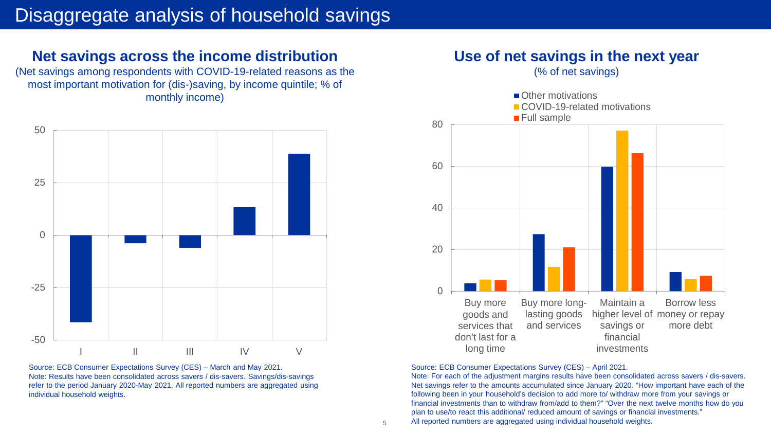#### **Net savings across the income distribution**

(Net savings among respondents with COVID-19-related reasons as the most important motivation for (dis-)saving, by income quintile; % of monthly income)



Source: ECB Consumer Expectations Survey (CES) – March and May 2021. Note: Results have been consolidated across savers / dis-savers. Savings/dis-savings refer to the period January 2020-May 2021. All reported numbers are aggregated using individual household weights.

#### **Use of net savings in the next year**

(% of net savings)



Source: ECB Consumer Expectations Survey (CES) – April 2021.

Note: For each of the adjustment margins results have been consolidated across savers / dis-savers. Net savings refer to the amounts accumulated since January 2020. "How important have each of the following been in your household's decision to add more to/ withdraw more from your savings or financial investments than to withdraw from/add to them?" "Over the next twelve months how do you plan to use/to react this additional/ reduced amount of savings or financial investments." All reported numbers are aggregated using individual household weights.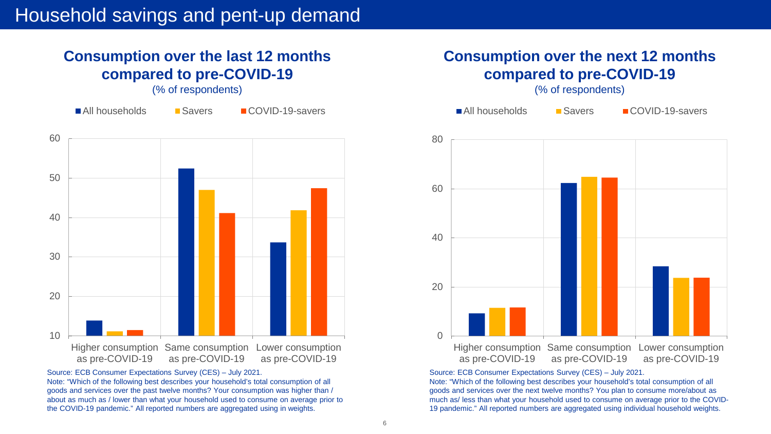#### **Consumption over the last 12 months compared to pre-COVID-19**

(% of respondents)



Source: ECB Consumer Expectations Survey (CES) – July 2021.

Note: "Which of the following best describes your household's total consumption of all goods and services over the past twelve months? Your consumption was higher than / about as much as / lower than what your household used to consume on average prior to the COVID-19 pandemic." All reported numbers are aggregated using in weights.

#### **Consumption over the next 12 months compared to pre-COVID-19**

(% of respondents)



Source: ECB Consumer Expectations Survey (CES) – July 2021.

Note: "Which of the following best describes your household's total consumption of all goods and services over the next twelve months? You plan to consume more/about as much as/ less than what your household used to consume on average prior to the COVID-19 pandemic." All reported numbers are aggregated using individual household weights.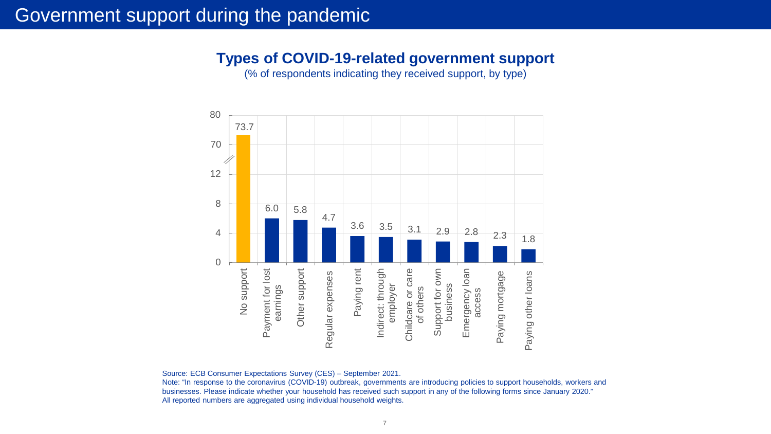## Government support during the pandemic

#### **Types of COVID-19-related government support**

(% of respondents indicating they received support, by type)



Source: ECB Consumer Expectations Survey (CES) – September 2021.

Note: "In response to the coronavirus (COVID-19) outbreak, governments are introducing policies to support households, workers and businesses. Please indicate whether your household has received such support in any of the following forms since January 2020." All reported numbers are aggregated using individual household weights.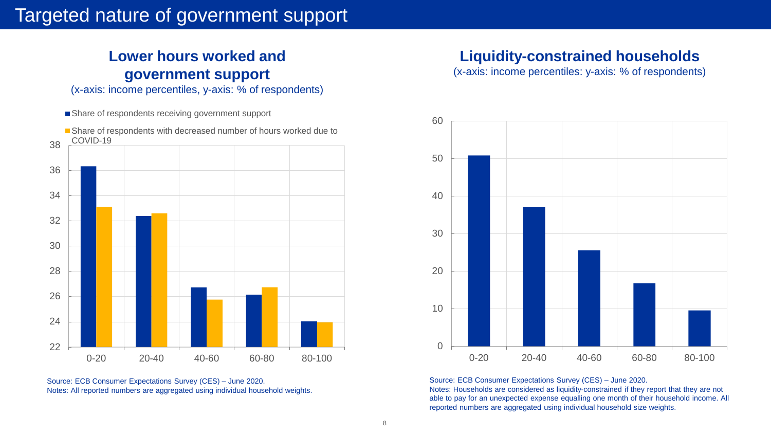## Targeted nature of government support

### **Lower hours worked and government support**

(x-axis: income percentiles, y-axis: % of respondents)

Share of respondents receiving government support



Source: ECB Consumer Expectations Survey (CES) – June 2020. Notes: All reported numbers are aggregated using individual household weights.

#### **Liquidity-constrained households**

(x-axis: income percentiles: y-axis: % of respondents)



Source: ECB Consumer Expectations Survey (CES) – June 2020.

Notes: Households are considered as liquidity-constrained if they report that they are not able to pay for an unexpected expense equalling one month of their household income. All reported numbers are aggregated using individual household size weights.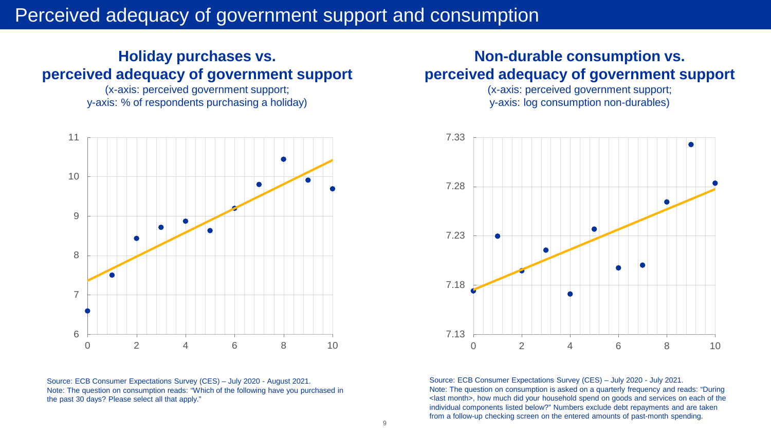## Perceived adequacy of government support and consumption

#### **Holiday purchases vs. perceived adequacy of government support**

(x-axis: perceived government support; y-axis: % of respondents purchasing a holiday)



Source: ECB Consumer Expectations Survey (CES) – July 2020 - August 2021. Note: The question on consumption reads: "Which of the following have you purchased in the past 30 days? Please select all that apply."

#### **Non-durable consumption vs. perceived adequacy of government support**

(x-axis: perceived government support; y-axis: log consumption non-durables)



Source: ECB Consumer Expectations Survey (CES) – July 2020 - July 2021. Note: The question on consumption is asked on a quarterly frequency and reads: "During <last month>, how much did your household spend on goods and services on each of the individual components listed below?" Numbers exclude debt repayments and are taken from a follow-up checking screen on the entered amounts of past-month spending.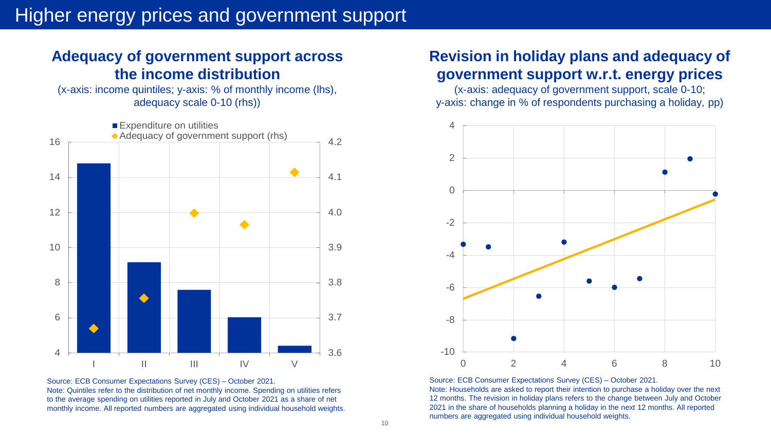#### **Adequacy of government support across the income distribution**

(x-axis: income quintiles; y-axis: % of monthly income (lhs), adequacy scale 0-10 (rhs))



Source: ECB Consumer Expectations Survey (CES) – October 2021. Note: Quintiles refer to the distribution of net monthly income. Spending on utilities refers to the average spending on utilities reported in July and October 2021 as a share of net monthly income. All reported numbers are aggregated using individual household weights.

#### **Revision in holiday plans and adequacy of government support w.r.t. energy prices**

(x-axis: adequacy of government support, scale 0-10; y-axis: change in % of respondents purchasing a holiday, pp)



Source: ECB Consumer Expectations Survey (CES) – October 2021.

Note: Households are asked to report their intention to purchase a holiday over the next 12 months. The revision in holiday plans refers to the change between July and October 2021 in the share of households planning a holiday in the next 12 months. All reported numbers are aggregated using individual household weights.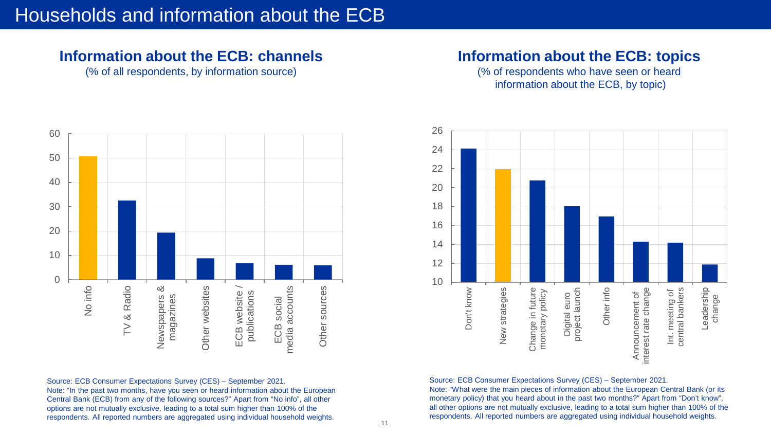#### **Information about the ECB: channels**

(% of all respondents, by information source)

#### **Information about the ECB: topics**

(% of respondents who have seen or heard information about the ECB, by topic)



Source: ECB Consumer Expectations Survey (CES) – September 2021. Note: "In the past two months, have you seen or heard information about the European Central Bank (ECB) from any of the following sources?" Apart from "No info", all other options are not mutually exclusive, leading to a total sum higher than 100% of the respondents. All reported numbers are aggregated using individual household weights.



Source: ECB Consumer Expectations Survey (CES) – September 2021.

Note: "What were the main pieces of information about the European Central Bank (or its monetary policy) that you heard about in the past two months?" Apart from "Don't know", all other options are not mutually exclusive, leading to a total sum higher than 100% of the respondents. All reported numbers are aggregated using individual household weights.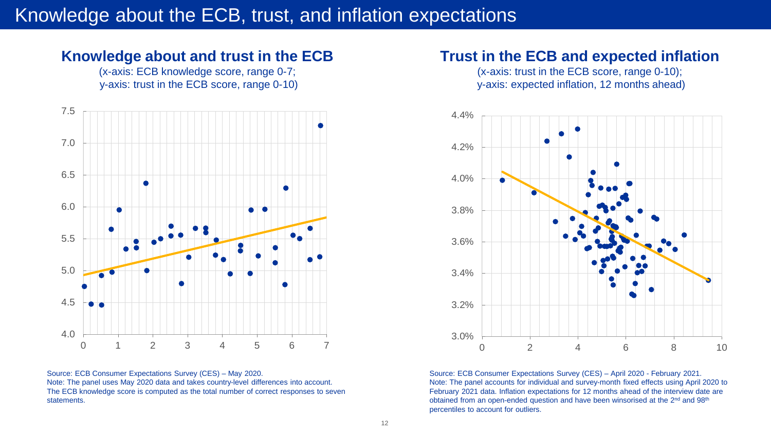## Knowledge about the ECB, trust, and inflation expectations

#### **Knowledge about and trust in the ECB**

(x-axis: ECB knowledge score, range 0-7; y-axis: trust in the ECB score, range 0-10)



Source: ECB Consumer Expectations Survey (CES) – May 2020. Note: The panel uses May 2020 data and takes country-level differences into account. The ECB knowledge score is computed as the total number of correct responses to seven statements.

#### **Trust in the ECB and expected inflation**

(x-axis: trust in the ECB score, range 0-10); y-axis: expected inflation, 12 months ahead)



Source: ECB Consumer Expectations Survey (CES) – April 2020 - February 2021. Note: The panel accounts for individual and survey-month fixed effects using April 2020 to February 2021 data. Inflation expectations for 12 months ahead of the interview date are obtained from an open-ended question and have been winsorised at the 2<sup>nd</sup> and 98<sup>th</sup> percentiles to account for outliers.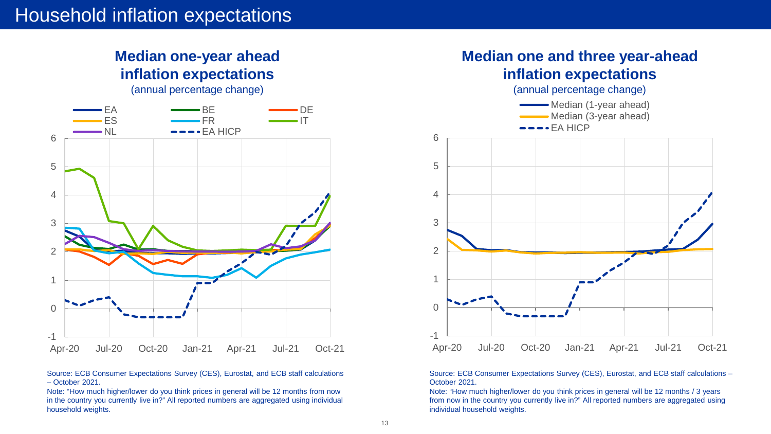#### **Median one-year ahead inflation expectations**

(annual percentage change)



Source: ECB Consumer Expectations Survey (CES), Eurostat, and ECB staff calculations – October 2021.

Note: "How much higher/lower do you think prices in general will be 12 months from now in the country you currently live in?" All reported numbers are aggregated using individual household weights.



Source: ECB Consumer Expectations Survey (CES), Eurostat, and ECB staff calculations – October 2021.

Note: "How much higher/lower do you think prices in general will be 12 months / 3 years from now in the country you currently live in?" All reported numbers are aggregated using individual household weights.